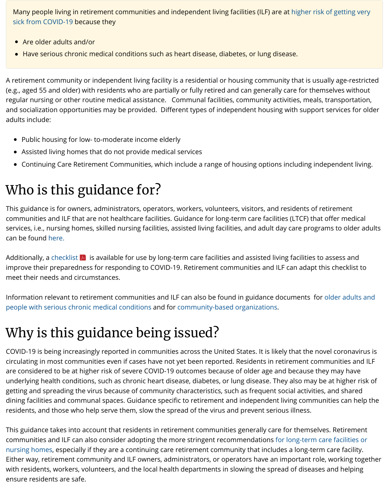### Who is this guidance for?

This guidance is for owners, administrators, operators, workers, volunteers, communities and ILF that are not healthcare facilities. Guidance for long-ter services, i.e., nursing homes, skilled nursing facilities, assisted living facilities can be found here.

Additionally, a checklist  $\blacktriangleright$  is available for use by long-term care facilities an improve their preparedness for responding to COVID-19. Retirement comm meet their needs and circumstances.

Information relevant to retirement communities and ILF can also be found in people with serious chronic medical conditions and for community-based or

# Why is this guidance being issued?

COVID-19 is being increasingly reported in communities across the United S circulating in most communities even if cases have not yet been reported. R are considered to be at higher risk of severe COVID-19 outcomes because o underlying health conditions, such as chronic heart disease, diabetes, or lung getting and spreading the virus because of community characteristics, such dining facilities and communal spaces. Guidance specific to retirement and residents, and those who help serve them, slow the spread of the virus and

This guidanc[e takes](https://www.cdc.gov/coronavirus/2019-ncov/healthcare-facilities/prevent-spread-in-long-term-care-facilities.html) into account that residents in retirement communities g communities [and ILF can a](https://www.cdc.gov/coronavirus/2019-ncov/downloads/novel-coronavirus-2019-Nursing-Homes-Preparedness-Checklist_3_13.pdf)lso consider adopting the more stringent recomn nursing homes, especially if they are a continuing care retirement community Either way, retirement community and ILF owners, administrators, or opera with residents, workers, volunteers, and the local health departments in slow [ensure residents are safe.](https://www.cdc.gov/coronavirus/2019-ncov/specific-groups/high-risk-complications.html)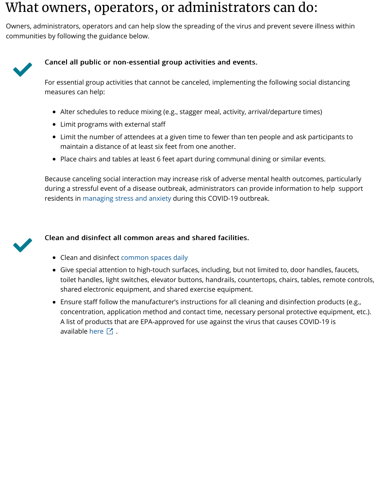during a stressful event of a disease outbreak, administrators c residents in managing stress and anxiety during this COVID-19



#### Clean and disinfect all common areas and shared faciliti

- Clean and disinfect common spaces daily
- Give special attention to high-touch surfaces, including, but on limited to, door handles, fault and  $\overline{\phantom{a}}$ toilet handles, light switches, elevator buttons, handrails, o shared electronic equipment, and shared exercise equipm
- Ensure staff follow the manufacturer's instructions for all only concentration, application method and contact time, nece A list of products that are EPA-approved for use against th available here  $\boxtimes$ .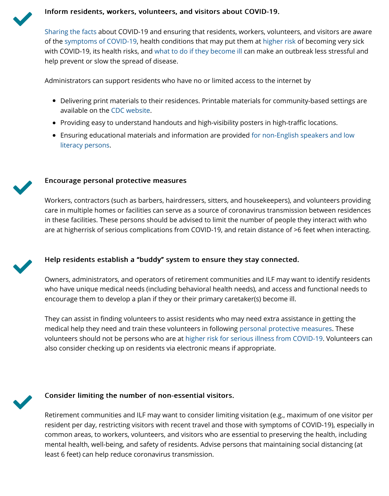

Workers, contractors (such as barbers, hairdressers, sitters, and care in multiple homes or facilities can serve as a source of coronavirus transmission between results. [in these facilities.](https://www.cdc.gov/coronavirus/2019-ncov/about/share-facts.html) These persons should be advised to limit the are at [higherrisk of serious com](https://www.cdc.gov/coronavirus/2019-ncov/symptoms-testing/symptoms.html)plications from COVID-19, and r



#### Help residents establish a "buddy" system to ensure the

Owners, administrators, and operators of retirement communities and ILF may not in the ILF may be community re who have unique medical needs (including behavioral health needs) encourage them to d[evelop a plan](https://www.cdc.gov/coronavirus/2019-ncov/communication/index.html) if they or their primary caret

They can assist in finding volunteers to assist residents who ma medical help they need and train these volunteers in following volunteers should not be persons who are at higher risk for ser also consider checking up on residents via electronic means if a



#### Consider limiting the number of non-essential visitors.

Retirement communities and ILF may want to consider limiting resident per day, restricting visitors with recent travel and those common areas, to workers, volunteers, and visitors who are essential to mental health, well-being, and safety of residents. Advise perso least 6 feet) can help reduce coronavirus transmission.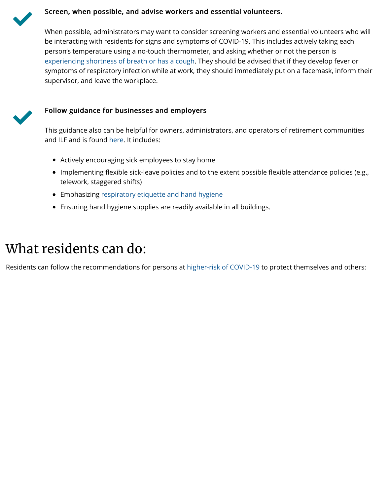- telework, stagered shifts), stagered shifts in the shifts of the shifts of the shifts of the shifts of the shifts of the shifts of the shifts of the shifts of the shifts. The shifts of the shifts of the shifts of the shift
- Emphasizing respiratory etiquette and hand hygiene  $\bullet$
- Ensuring hand hygiene supplies are readily available in all  $\bullet$

## What [residents can do:](https://www.cdc.gov/coronavirus/2019-ncov/symptoms-testing/symptoms.html)

Residents can follow the recommendations for persons at higher-risk of CO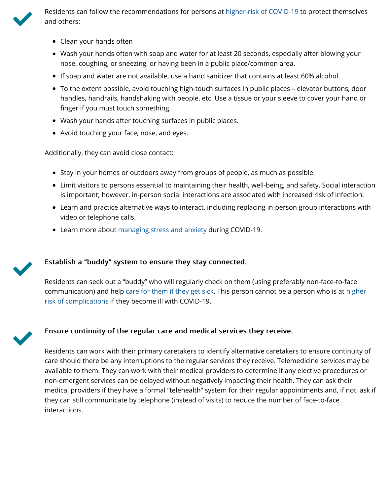- Limit visitors to persons essential to maintaining their health, well-being, and safety. Social interaction is important; however, in-person social interactions are as
- Learn and practice alternative ways to interact, including replacing video or telephone calls.
- Learn more about managing stress and anxiety during CO



#### Establish a "buddy" system to ensure they stay connecte

Residents can seek out a "buddy" who will regularly check on the communication) and help care for them if they get sick. This pe risk of complications if they become ill with COVID-19.



#### Ensure continuity of the regular care and medical service

Residents can work with their primary caretakers to identify alternative can work with their primary caretakers to identify alternative continuity. care should there be any interruptions to the regular services the available to them. They can work with their medical providers t non-emergent services can be delayed without negatively impa medical providers if they have a formal "telehealth" system for they can still communicate by telephone (instead of visits) to re interactions.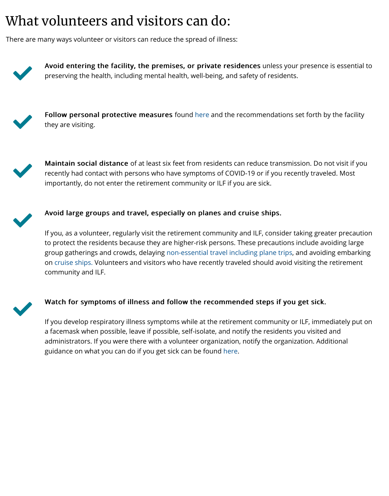

#### Avoid large groups and travel, especially on planes and  $\alpha$

If you, as a volunteer, regularly visit the retirement community to protect the residents because they are higher-risk persons. The group gatherings and crowds, delaying non-essential travel incl on cruise ships. Volunteers and visitors who have recently trave community and ILF.



#### Watch for symptoms of illness and follow t[he re](https://www.cdc.gov/coronavirus/2019-ncov/prepare/prevention.html)commen

If you develop respiratory illness symptoms while at the retiren a facemask when possible, leave if possible, self-isolate, and no administrators. If you were there with a volunteer organization, guidance on what you can do if you get sick can be found here.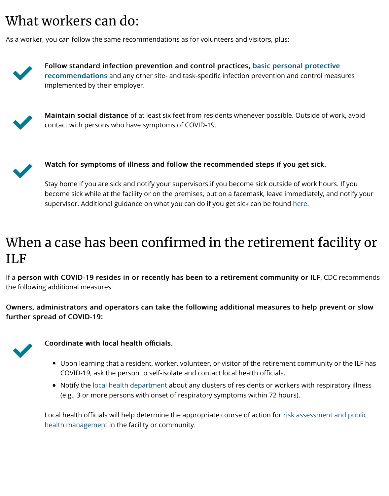Stay home if you are sick and notify your supervisors if you become sick outside of work hours. If you become sick while at the facility or on the premises, put on a fa supervisor. Additional guidance on what you can do if you get s

### When a case has been confirmed in the ILF

If a person with COVID-19 resides in or recently has been to a retire the following additional measures:

Owners, administrators and operators can take the following additi further spread of COVID-19:



Coordinate with local health officials.

- Upon learning that a resident, worker, volunteer, or visitor COVID-19, ask the person to self-isolate and contact local l
- Notify the local health department about any clusters of respirators of  $\epsilon$ (e.g., 3 or more persons with onset of respiratory symptor

Local health officials will help determine the appropriate course health management in the facility or community.